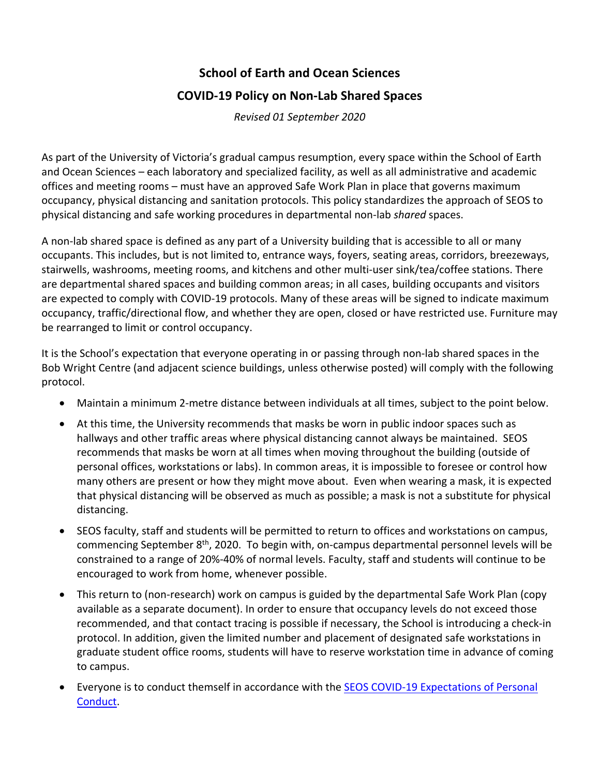# **School of Earth and Ocean Sciences COVID-19 Policy on Non-Lab Shared Spaces**

*Revised 01 September 2020*

As part of the University of Victoria's gradual campus resumption, every space within the School of Earth and Ocean Sciences – each laboratory and specialized facility, as well as all administrative and academic offices and meeting rooms – must have an approved Safe Work Plan in place that governs maximum occupancy, physical distancing and sanitation protocols. This policy standardizes the approach of SEOS to physical distancing and safe working procedures in departmental non-lab *shared* spaces.

A non-lab shared space is defined as any part of a University building that is accessible to all or many occupants. This includes, but is not limited to, entrance ways, foyers, seating areas, corridors, breezeways, stairwells, washrooms, meeting rooms, and kitchens and other multi-user sink/tea/coffee stations. There are departmental shared spaces and building common areas; in all cases, building occupants and visitors are expected to comply with COVID-19 protocols. Many of these areas will be signed to indicate maximum occupancy, traffic/directional flow, and whether they are open, closed or have restricted use. Furniture may be rearranged to limit or control occupancy.

It is the School's expectation that everyone operating in or passing through non-lab shared spaces in the Bob Wright Centre (and adjacent science buildings, unless otherwise posted) will comply with the following protocol.

- Maintain a minimum 2-metre distance between individuals at all times, subject to the point below.
- At this time, the University recommends that masks be worn in public indoor spaces such as hallways and other traffic areas where physical distancing cannot always be maintained. SEOS recommends that masks be worn at all times when moving throughout the building (outside of personal offices, workstations or labs). In common areas, it is impossible to foresee or control how many others are present or how they might move about. Even when wearing a mask, it is expected that physical distancing will be observed as much as possible; a mask is not a substitute for physical distancing.
- SEOS faculty, staff and students will be permitted to return to offices and workstations on campus, commencing September 8th, 2020. To begin with, on-campus departmental personnel levels will be constrained to a range of 20%-40% of normal levels. Faculty, staff and students will continue to be encouraged to work from home, whenever possible.
- This return to (non-research) work on campus is guided by the departmental Safe Work Plan (copy available as a separate document). In order to ensure that occupancy levels do not exceed those recommended, and that contact tracing is possible if necessary, the School is introducing a check-in protocol. In addition, given the limited number and placement of designated safe workstations in graduate student office rooms, students will have to reserve workstation time in advance of coming to campus.
- Everyone is to conduct themself in accordance with the SEOS COVID-19 Expectations of Personal Conduct.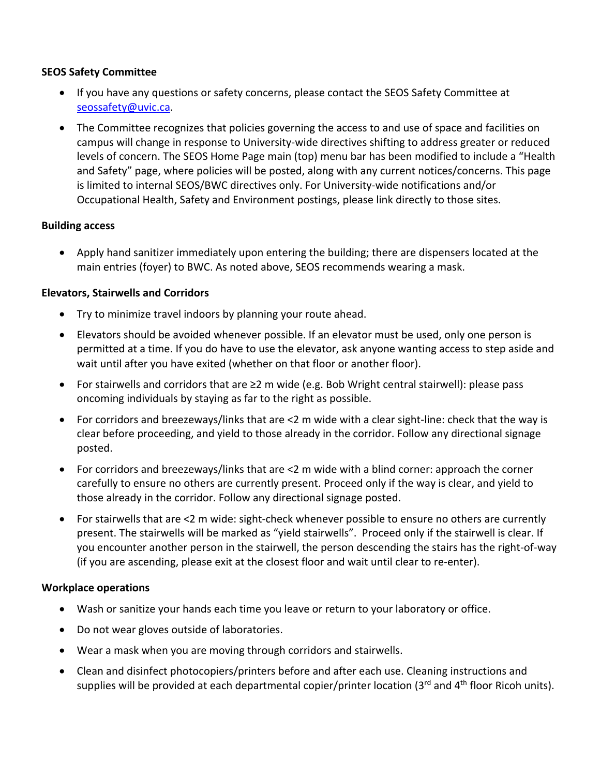#### **SEOS Safety Committee**

- If you have any questions or safety concerns, please contact the SEOS Safety Committee at seossafety@uvic.ca.
- The Committee recognizes that policies governing the access to and use of space and facilities on campus will change in response to University-wide directives shifting to address greater or reduced levels of concern. The SEOS Home Page main (top) menu bar has been modified to include a "Health and Safety" page, where policies will be posted, along with any current notices/concerns. This page is limited to internal SEOS/BWC directives only. For University-wide notifications and/or Occupational Health, Safety and Environment postings, please link directly to those sites.

#### **Building access**

• Apply hand sanitizer immediately upon entering the building; there are dispensers located at the main entries (foyer) to BWC. As noted above, SEOS recommends wearing a mask.

#### **Elevators, Stairwells and Corridors**

- Try to minimize travel indoors by planning your route ahead.
- Elevators should be avoided whenever possible. If an elevator must be used, only one person is permitted at a time. If you do have to use the elevator, ask anyone wanting access to step aside and wait until after you have exited (whether on that floor or another floor).
- For stairwells and corridors that are ≥2 m wide (e.g. Bob Wright central stairwell): please pass oncoming individuals by staying as far to the right as possible.
- For corridors and breezeways/links that are <2 m wide with a clear sight-line: check that the way is clear before proceeding, and yield to those already in the corridor. Follow any directional signage posted.
- For corridors and breezeways/links that are <2 m wide with a blind corner: approach the corner carefully to ensure no others are currently present. Proceed only if the way is clear, and yield to those already in the corridor. Follow any directional signage posted.
- For stairwells that are <2 m wide: sight-check whenever possible to ensure no others are currently present. The stairwells will be marked as "yield stairwells". Proceed only if the stairwell is clear. If you encounter another person in the stairwell, the person descending the stairs has the right-of-way (if you are ascending, please exit at the closest floor and wait until clear to re-enter).

#### **Workplace operations**

- Wash or sanitize your hands each time you leave or return to your laboratory or office.
- Do not wear gloves outside of laboratories.
- Wear a mask when you are moving through corridors and stairwells.
- Clean and disinfect photocopiers/printers before and after each use. Cleaning instructions and supplies will be provided at each departmental copier/printer location (3<sup>rd</sup> and 4<sup>th</sup> floor Ricoh units).